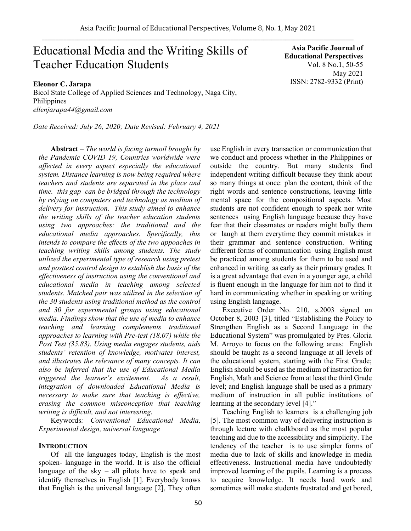# Educational Media and the Writing Skills of Teacher Education Students

**Eleonor C. Jarapa**

Bicol State College of Applied Sciences and Technology, Naga City, Philippines *ellenjarapa44@gmail.com*

*Date Received: July 26, 2020; Date Revised: February 4, 2021*

**Abstract** *– The world is facing turmoil brought by the Pandemic COVID 19, Countries worldwide were affected in every aspect especially the educational system. Distance learning is now being required where teachers and students are separated in the place and time. this gap can be bridged through the technology by relying on computers and technology as medium of delivery for instruction. This study aimed to enhance the writing skills of the teacher education students using two approaches: the traditional and the educational media approaches. Specifically, this intends to compare the effects of the two appoaches in teaching writing skills among students. The study utilized the experimental type of research using pretest and posttest control design to establish the basis of the effectiveness of instruction using the conventional and educational media in teaching among selected students. Matched pair was utilized in the selection of the 30 students using traditional method as the control and 30 for experimental groups using educational media. Findings show that the use of media to enhance teaching and learning complements traditional approaches to learning with Pre-test (18.07) while the Post Test (35.83). Using media engages students, aids students' retention of knowledge, motivates interest, and illustrates the relevance of many concepts. It can also be inferred that the use of Educational Media triggered the learner's excitement. As a result, integration of downloaded Educational Media is necessary to make sure that teaching is effective, erasing the common misconception that teaching writing is difficult, and not interesting.* 

Keywords*: Conventional Educational Media, Experimental design, universal language* 

## **INTRODUCTION**

Of all the languages today, English is the most spoken- language in the world. It is also the official language of the sky  $-$  all pilots have to speak and identify themselves in English [1]. Everybody knows that English is the universal language [2], They often

**Asia Pacific Journal of Educational Perspectives**  Vol. 8 No.1, 50-55 May 2021 ISSN: 2782-9332 (Print)

use English in every transaction or communication that we conduct and process whether in the Philippines or outside the country. But many students find independent writing difficult because they think about so many things at once: plan the content, think of the right words and sentence constructions, leaving little mental space for the compositional aspects. Most students are not confident enough to speak nor write sentences using English language because they have fear that their classmates or readers might bully them or laugh at them everytime they commit mistakes in their grammar and sentence construction. Writing different forms of communication using English must be practiced among students for them to be used and enhanced in writing as early as their primary grades. It is a great advantage that even in a younger age, a child is fluent enough in the language for him not to find it hard in communicating whether in speaking or writing using English language.

Executive Order No. 210, s.2003 signed on October 8, 2003 [3], titled "Establishing the Policy to Strengthen English as a Second Language in the Educational System" was promulgated by Pres. Gloria M. Arroyo to focus on the following areas: English should be taught as a second language at all levels of the educational system, starting with the First Grade; English should be used as the medium of instruction for English, Math and Science from at least the third Grade level; and English language shall be used as a primary medium of instruction in all public institutions of learning at the secondary level [4]."

Teaching English to learners is a challenging job [5]. The most common way of delivering instruction is through lecture with chalkboard as the most popular teaching aid due to the accessibility and simplicity. The tendency of the teacher is to use simpler forms of media due to lack of skills and knowledge in media effectiveness. Instructional media have undoubtedly improved learning of the pupils. Learning is a process to acquire knowledge. It needs hard work and sometimes will make students frustrated and get bored,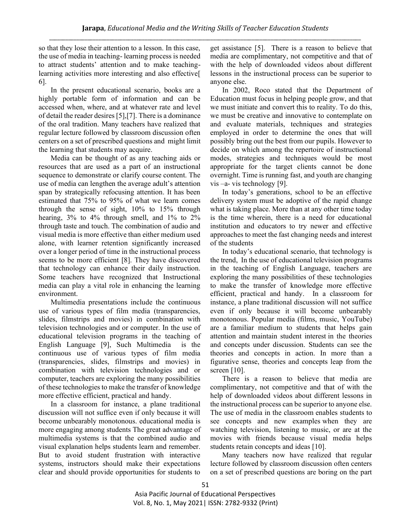so that they lose their attention to a lesson. In this case, the use of media in teaching- learning process is needed to attract students' attention and to make teachinglearning activities more interesting and also effective[ 6].

In the present educational scenario, books are a highly portable form of information and can be accessed when, where, and at whatever rate and level of detail the reader desires [5],[7]. There is a dominance of the oral tradition. Many teachers have realized that regular lecture followed by classroom discussion often centers on a set of prescribed questions and might limit the learning that students may acquire.

Media can be thought of as any teaching aids or resources that are used as a part of an instructional sequence to demonstrate or clarify course content. The use of media can lengthen the average adult's attention span by strategically refocusing attention. It has been estimated that 75% to 95% of what we learn comes through the sense of sight, 10% to 15% through hearing, 3% to 4% through smell, and 1% to 2% through taste and touch. The combination of audio and visual media is more effective than either medium used alone, with learner retention significantly increased over a longer period of time in the instructional process seems to be more efficient [8]. They have discovered that technology can enhance their daily instruction. Some teachers have recognized that Instructional media can play a vital role in enhancing the learning environment.

Multimedia presentations include the continuous use of various types of film media (transparencies, slides, filmstrips and movies) in combination with television technologies and or computer. In the use of educational television programs in the teaching of English Language [9], Such Multimedia is the continuous use of various types of film media (transparencies, slides, filmstrips and movies) in combination with television technologies and or computer, teachers are exploring the many possibilities of these technologies to make the transfer of knowledge more effective efficient, practical and handy.

In a classroom for instance, a plane traditional discussion will not suffice even if only because it will become unbearably monotonous. educational media is more engaging among students The great advantage of multimedia systems is that the combined audio and visual explanation helps students learn and remember. But to avoid student frustration with interactive systems, instructors should make their expectations clear and should provide opportunities for students to

get assistance [5]. There is a reason to believe that media are complimentary, not competitive and that of with the help of downloaded videos about different lessons in the instructional process can be superior to anyone else.

In 2002, Roco stated that the Department of Education must focus in helping people grow, and that we must initiate and convert this to reality. To do this, we must be creative and innovative to contemplate on and evaluate materials, techniques and strategies employed in order to determine the ones that will possibly bring out the best from our pupils. However to decide on which among the repertoire of instructional modes, strategies and techniques would be most appropriate for the target clients cannot be done overnight. Time is running fast, and youth are changing vis –a- vis technology [9].

In today's generations, school to be an effective delivery system must be adoptive of the rapid change what is taking place. More than at any other time today is the time wherein, there is a need for educational institution and educators to try newer and effective approaches to meet the fast changing needs and interest of the students

In today's educational scenario, that technology is the trend, In the use of educational television programs in the teaching of English Language, teachers are exploring the many possibilities of these technologies to make the transfer of knowledge more effective efficient, practical and handy. In a classroom for instance, a plane traditional discussion will not suffice even if only because it will become unbearably monotonous. Popular media (films, music, YouTube) are a familiar medium to students that helps gain attention and maintain student interest in the theories and concepts under discussion. Students can see the theories and concepts in action. In more than a figurative sense, theories and concepts leap from the screen [10].

There is a reason to believe that media are complimentary, not competitive and that of with the help of downloaded videos about different lessons in the instructional process can be superior to anyone else. The use of media in the classroom enables students to see concepts and new examples when they are watching television, listening to music, or are at the movies with friends because visual media helps students retain concepts and ideas [10].

Many teachers now have realized that regular lecture followed by classroom discussion often centers on a set of prescribed questions are boring on the part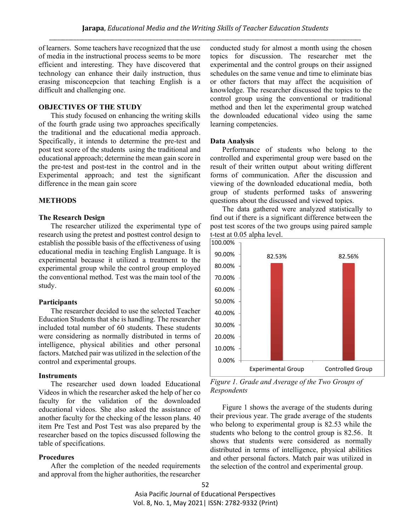of learners. Some teachers have recognized that the use of media in the instructional process seems to be more efficient and interesting. They have discovered that technology can enhance their daily instruction, thus erasing misconcepcion that teaching English is a difficult and challenging one.

## **OBJECTIVES OF THE STUDY**

This study focused on enhancing the writing skills of the fourth grade using two approaches specifically the traditional and the educational media approach. Specifically, it intends to determine the pre-test and post test score of the students using the traditional and educational approach; determine the mean gain score in the pre-test and post-test in the control and in the Experimental approach; and test the significant difference in the mean gain score

#### **METHODS**

## **The Research Design**

The researcher utilized the experimental type of research using the pretest and posttest control design to establish the possible basis of the effectiveness of using educational media in teaching English Language. It is experimental because it utilized a treatment to the experimental group while the control group employed the conventional method. Test was the main tool of the study.

#### **Participants**

The researcher decided to use the selected Teacher Education Students that she is handling. The researcher included total number of 60 students. These students were considering as normally distributed in terms of intelligence, physical abilities and other personal factors. Matched pair was utilized in the selection of the control and experimental groups.

# **Instruments**

The researcher used down loaded Educational Videos in which the researcher asked the help of her co faculty for the validation of the downloaded educational videos. She also asked the assistance of another faculty for the checking of the lesson plans. 40 item Pre Test and Post Test was also prepared by the researcher based on the topics discussed following the table of specifications.

# **Procedures**

After the completion of the needed requirements and approval from the higher authorities, the researcher conducted study for almost a month using the chosen topics for discussion. The researcher met the experimental and the control groups on their assigned schedules on the same venue and time to eliminate bias or other factors that may affect the acquisition of knowledge. The researcher discussed the topics to the control group using the conventional or traditional method and then let the experimental group watched the downloaded educational video using the same learning competencies.

#### **Data Analysis**

Performance of students who belong to the controlled and experimental group were based on the result of their written output about writing different forms of communication. After the discussion and viewing of the downloaded educational media, both group of students performed tasks of answering questions about the discussed and viewed topics.

The data gathered were analyzed statistically to find out if there is a significant difference between the post test scores of the two groups using paired sample t-test at 0.05 alpha level.



*Figure 1. Grade and Average of the Two Groups of Respondents*

Figure 1 shows the average of the students during their previous year. The grade average of the students who belong to experimental group is 82.53 while the students who belong to the control group is 82.56. It shows that students were considered as normally distributed in terms of intelligence, physical abilities and other personal factors. Match pair was utilized in the selection of the control and experimental group.

Asia Pacific Journal of Educational Perspectives Vol. 8, No. 1, May 2021| ISSN: 2782-9332 (Print)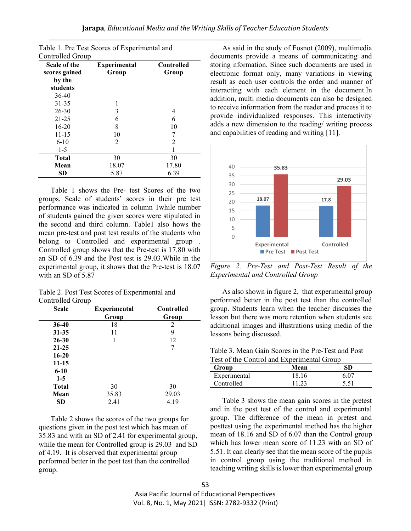| Scale of the<br>scores gained | <b>Experimental</b><br>Group | <b>Controlled</b><br>Group |
|-------------------------------|------------------------------|----------------------------|
| by the                        |                              |                            |
| students                      |                              |                            |
| 36-40                         |                              |                            |
| 31-35                         |                              |                            |
| $26 - 30$                     | 3                            | 4                          |
| $21 - 25$                     | 6                            | 6                          |
| $16 - 20$                     | 8                            | 10                         |
| 11-15                         | 10                           |                            |
| $6-10$                        | 2                            | 2                          |
| $1-5$                         |                              |                            |
| <b>Total</b>                  | 30                           | 30                         |
| Mean                          | 18.07                        | 17.80                      |
| <b>SD</b>                     | 5.87                         | 6.39                       |

Table 1. Pre Test Scores of Experimental and

Table 1 shows the Pre- test Scores of the two groups. Scale of students' scores in their pre test performance was indicated in column 1while number of students gained the given scores were stipulated in the second and third column. Table1 also hows the mean pre-test and post test results of the students who belong to Controlled and experimental group . Controlled group shows that the Pre-test is 17.80 with an SD of 6.39 and the Post test is 29.03.While in the experimental group, it shows that the Pre-test is 18.07 with an SD of 5.87

Table 2. Post Test Scores of Experimental and Controlled Group

| <b>Scale</b> | <b>Controlled</b><br><b>Experimental</b> |       |
|--------------|------------------------------------------|-------|
|              | Group                                    | Group |
| $36 - 40$    | 18                                       | 2     |
| $31 - 35$    | 11                                       | 9     |
| $26 - 30$    | 1                                        | 12    |
| $21 - 25$    |                                          | 7     |
| $16 - 20$    |                                          |       |
| $11 - 15$    |                                          |       |
| $6 - 10$     |                                          |       |
| $1-5$        |                                          |       |
| <b>Total</b> | 30                                       | 30    |
| Mean         | 35.83                                    | 29.03 |
| <b>SD</b>    | 2.41                                     | 4.19  |

Table 2 shows the scores of the two groups for questions given in the post test which has mean of 35.83 and with an SD of 2.41 for experimental group, while the mean for Controlled group is 29.03 and SD of 4.19. It is observed that experimental group performed better in the post test than the controlled group.

As said in the study of Fosnot (2009), multimedia documents provide a means of communicating and storing nformation. Since such documents are used in electronic format only, many variations in viewing result as each user controls the order and manner of interacting with each element in the document.In addition, multi media documents can also be designed to receive information from the reader and process it to provide individualized responses. This interactivity adds a new dimension to the reading/ writing process and capabilities of reading and writing [11].



*Figure 2. Pre-Test and Post-Test Result of the Experimental and Controlled Group*

As also shown in figure 2, that experimental group performed better in the post test than the controlled group. Students learn when the teacher discusses the lesson but there was more retention when students see additional images and illustrations using media of the lessons being discussed.

Table 3. Mean Gain Scores in the Pre-Test and Post Test of the Control and Experimental Group

| Group        | Mean  | SD   |
|--------------|-------|------|
| Experimental | 18.16 | 6.07 |
| Controlled   | 11.23 | 5.51 |

Table 3 shows the mean gain scores in the pretest and in the post test of the control and experimental group. The difference of the mean in pretest and posttest using the experimental method has the higher mean of 18.16 and SD of 6.07 than the Control group which has lower mean score of 11.23 with an SD of 5.51. It can clearly see that the mean score of the pupils in control group using the traditional method in teaching writing skills is lower than experimental group

Asia Pacific Journal of Educational Perspectives Vol. 8, No. 1, May 2021| ISSN: 2782-9332 (Print)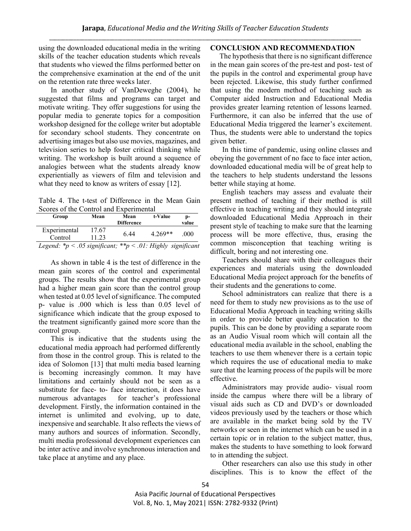using the downloaded educational media in the writing skills of the teacher education students which reveals that students who viewed the films performed better on the comprehensive examination at the end of the unit on the retention rate three weeks later.

In another study of VanDeweghe (2004), he suggested that films and programs can target and motivate writing. They offer suggestions for using the popular media to generate topics for a composition workshop designed for the college writer but adoptable for secondary school students. They concentrate on advertising images but also use movies, magazines, and television series to help foster critical thinking while writing. The workshop is built around a sequence of analogies between what the students already know experientially as viewers of film and television and what they need to know as writers of essay [12].

Table 4. The t-test of Difference in the Mean Gain Scores of the Control and Experimental

| Group                                                            | Mean  | Mean              | t-Value   | D-    |
|------------------------------------------------------------------|-------|-------------------|-----------|-------|
|                                                                  |       | <b>Difference</b> |           | value |
| Experimental                                                     | 17.67 | 6.44              | $4.269**$ | -000  |
| Control                                                          | 11.23 |                   |           |       |
| Legend: $*_p$ < .05 significant; $*_p$ < .01: Highly significant |       |                   |           |       |

As shown in table 4 is the test of difference in the mean gain scores of the control and experimental groups. The results show that the experimental group had a higher mean gain score than the control group when tested at 0.05 level of significance. The computed p- value is .000 which is less than 0.05 level of significance which indicate that the group exposed to the treatment significantly gained more score than the control group.

This is indicative that the students using the educational media approach had performed differently from those in the control group. This is related to the idea of Solomon [13] that multi media based learning is becoming increasingly common. It may have limitations and certainly should not be seen as a substitute for face- to- face interaction, it does have numerous advantages for teacher's professional development. Firstly, the information contained in the internet is unlimited and evolving, up to date, inexpensive and searchable. It also reflects the views of many authors and sources of information. Secondly, multi media professional development experiences can be inter active and involve synchronous interaction and take place at anytime and any place.

## **CONCLUSION AND RECOMMENDATION**

 The hypothesis that there is no significant difference in the mean gain scores of the pre-test and post- test of the pupils in the control and experimental group have been rejected. Likewise, this study further confirmed that using the modern method of teaching such as Computer aided Instruction and Educational Media provides greater learning retention of lessons learned. Furthermore, it can also be inferred that the use of Educational Media triggered the learner's excitement. Thus, the students were able to understand the topics given better.

In this time of pandemic, using online classes and obeying the government of no face to face inter action, downloaded educational media will be of great help to the teachers to help students understand the lessons better while staying at home.

English teachers may assess and evaluate their present method of teaching if their method is still effective in teaching writing and they should integrate downloaded Educational Media Approach in their present style of teaching to make sure that the learning process will be more effective, thus, erasing the common misconception that teaching writing is difficult, boring and not interesting one.

Teachers should share with their colleagues their experiences and materials using the downloaded Educational Media project approach for the benefits of their students and the generations to come.

School administrators can realize that there is a need for them to study new provisions as to the use of Educational Media Approach in teaching writing skills in order to provide better quality education to the pupils. This can be done by providing a separate room as an Audio Visual room which will contain all the educational media available in the school, enabling the teachers to use them whenever there is a certain topic which requires the use of educational media to make sure that the learning process of the pupils will be more effective.

Administrators may provide audio- visual room inside the campus where there will be a library of visual aids such as CD and DVD's or downloaded videos previously used by the teachers or those which are available in the market being sold by the TV networks or seen in the internet which can be used in a certain topic or in relation to the subject matter, thus, makes the students to have something to look forward to in attending the subject.

Other researchers can also use this study in other disciplines. This is to know the effect of the

Asia Pacific Journal of Educational Perspectives Vol. 8, No. 1, May 2021| ISSN: 2782-9332 (Print)